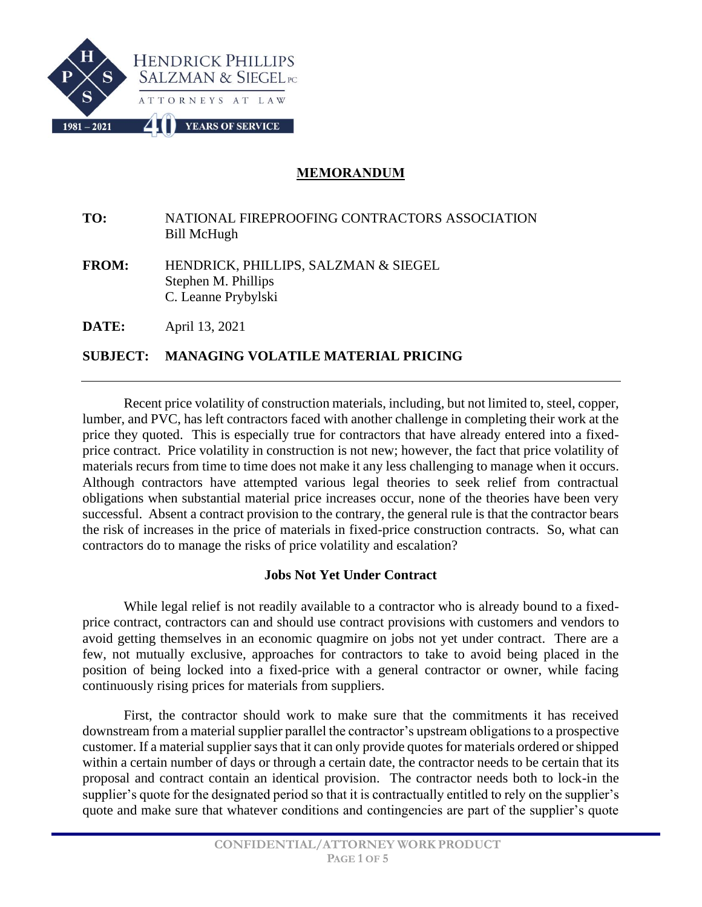

## **MEMORANDUM**

**TO:** NATIONAL FIREPROOFING CONTRACTORS ASSOCIATION Bill McHugh

**FROM:** HENDRICK, PHILLIPS, SALZMAN & SIEGEL Stephen M. Phillips C. Leanne Prybylski

**DATE:** April 13, 2021

# **SUBJECT: MANAGING VOLATILE MATERIAL PRICING**

Recent price volatility of construction materials, including, but not limited to, steel, copper, lumber, and PVC, has left contractors faced with another challenge in completing their work at the price they quoted. This is especially true for contractors that have already entered into a fixedprice contract. Price volatility in construction is not new; however, the fact that price volatility of materials recurs from time to time does not make it any less challenging to manage when it occurs. Although contractors have attempted various legal theories to seek relief from contractual obligations when substantial material price increases occur, none of the theories have been very successful. Absent a contract provision to the contrary, the general rule is that the contractor bears the risk of increases in the price of materials in fixed-price construction contracts. So, what can contractors do to manage the risks of price volatility and escalation?

## **Jobs Not Yet Under Contract**

While legal relief is not readily available to a contractor who is already bound to a fixedprice contract, contractors can and should use contract provisions with customers and vendors to avoid getting themselves in an economic quagmire on jobs not yet under contract. There are a few, not mutually exclusive, approaches for contractors to take to avoid being placed in the position of being locked into a fixed-price with a general contractor or owner, while facing continuously rising prices for materials from suppliers.

First, the contractor should work to make sure that the commitments it has received downstream from a material supplier parallel the contractor's upstream obligations to a prospective customer. If a material supplier says that it can only provide quotes for materials ordered or shipped within a certain number of days or through a certain date, the contractor needs to be certain that its proposal and contract contain an identical provision. The contractor needs both to lock-in the supplier's quote for the designated period so that it is contractually entitled to rely on the supplier's quote and make sure that whatever conditions and contingencies are part of the supplier's quote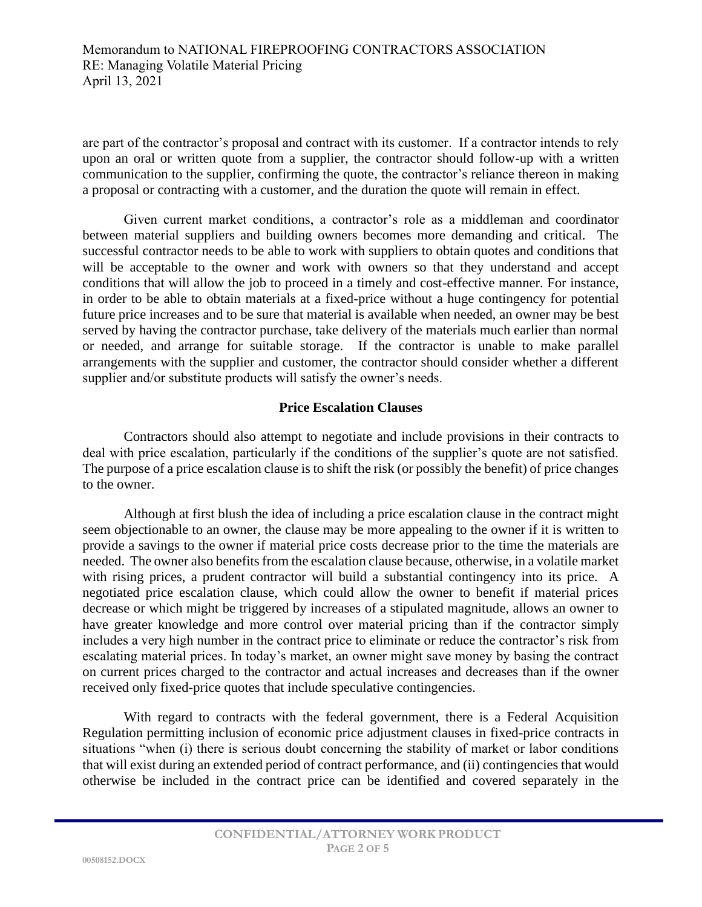are part of the contractor's proposal and contract with its customer. If a contractor intends to rely upon an oral or written quote from a supplier, the contractor should follow-up with a written communication to the supplier, confirming the quote, the contractor's reliance thereon in making a proposal or contracting with a customer, and the duration the quote will remain in effect.

Given current market conditions, a contractor's role as a middleman and coordinator between material suppliers and building owners becomes more demanding and critical. The successful contractor needs to be able to work with suppliers to obtain quotes and conditions that will be acceptable to the owner and work with owners so that they understand and accept conditions that will allow the job to proceed in a timely and cost-effective manner. For instance, in order to be able to obtain materials at a fixed-price without a huge contingency for potential future price increases and to be sure that material is available when needed, an owner may be best served by having the contractor purchase, take delivery of the materials much earlier than normal or needed, and arrange for suitable storage. If the contractor is unable to make parallel arrangements with the supplier and customer, the contractor should consider whether a different supplier and/or substitute products will satisfy the owner's needs.

#### **Price Escalation Clauses**

Contractors should also attempt to negotiate and include provisions in their contracts to deal with price escalation, particularly if the conditions of the supplier's quote are not satisfied. The purpose of a price escalation clause is to shift the risk (or possibly the benefit) of price changes to the owner.

Although at first blush the idea of including a price escalation clause in the contract might seem objectionable to an owner, the clause may be more appealing to the owner if it is written to provide a savings to the owner if material price costs decrease prior to the time the materials are needed. The owner also benefits from the escalation clause because, otherwise, in a volatile market with rising prices, a prudent contractor will build a substantial contingency into its price. A negotiated price escalation clause, which could allow the owner to benefit if material prices decrease or which might be triggered by increases of a stipulated magnitude, allows an owner to have greater knowledge and more control over material pricing than if the contractor simply includes a very high number in the contract price to eliminate or reduce the contractor's risk from escalating material prices. In today's market, an owner might save money by basing the contract on current prices charged to the contractor and actual increases and decreases than if the owner received only fixed-price quotes that include speculative contingencies.

With regard to contracts with the federal government, there is a Federal Acquisition Regulation permitting inclusion of economic price adjustment clauses in fixed-price contracts in situations "when (i) there is serious doubt concerning the stability of market or labor conditions that will exist during an extended period of contract performance, and (ii) contingencies that would otherwise be included in the contract price can be identified and covered separately in the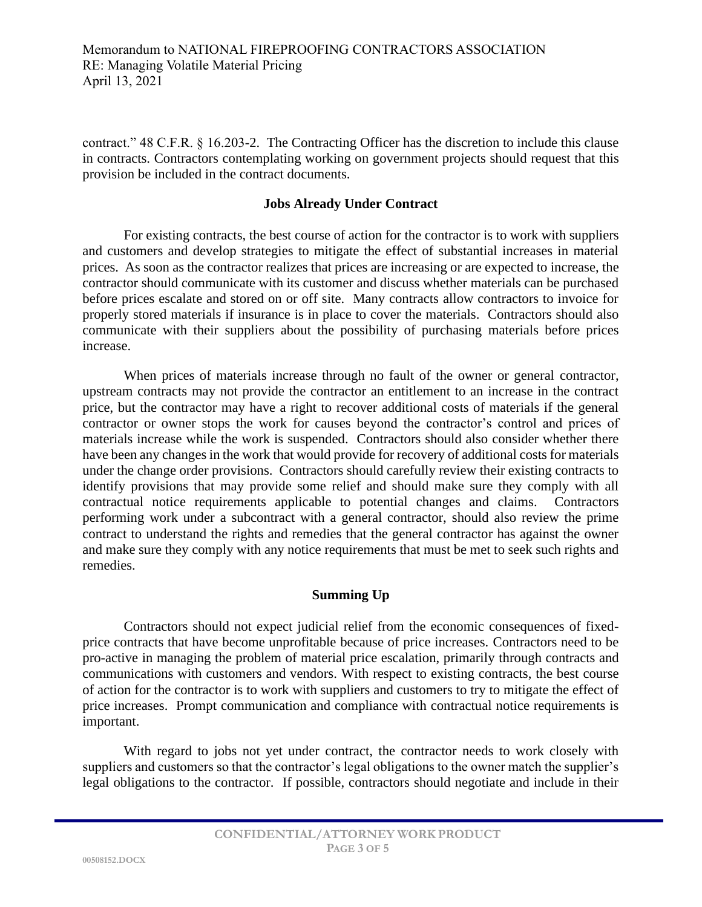contract." 48 C.F.R. § 16.203-2. The Contracting Officer has the discretion to include this clause in contracts. Contractors contemplating working on government projects should request that this provision be included in the contract documents.

## **Jobs Already Under Contract**

For existing contracts, the best course of action for the contractor is to work with suppliers and customers and develop strategies to mitigate the effect of substantial increases in material prices. As soon as the contractor realizes that prices are increasing or are expected to increase, the contractor should communicate with its customer and discuss whether materials can be purchased before prices escalate and stored on or off site. Many contracts allow contractors to invoice for properly stored materials if insurance is in place to cover the materials. Contractors should also communicate with their suppliers about the possibility of purchasing materials before prices increase.

When prices of materials increase through no fault of the owner or general contractor, upstream contracts may not provide the contractor an entitlement to an increase in the contract price, but the contractor may have a right to recover additional costs of materials if the general contractor or owner stops the work for causes beyond the contractor's control and prices of materials increase while the work is suspended. Contractors should also consider whether there have been any changes in the work that would provide for recovery of additional costs for materials under the change order provisions. Contractors should carefully review their existing contracts to identify provisions that may provide some relief and should make sure they comply with all contractual notice requirements applicable to potential changes and claims. Contractors performing work under a subcontract with a general contractor, should also review the prime contract to understand the rights and remedies that the general contractor has against the owner and make sure they comply with any notice requirements that must be met to seek such rights and remedies.

#### **Summing Up**

Contractors should not expect judicial relief from the economic consequences of fixedprice contracts that have become unprofitable because of price increases. Contractors need to be pro-active in managing the problem of material price escalation, primarily through contracts and communications with customers and vendors. With respect to existing contracts, the best course of action for the contractor is to work with suppliers and customers to try to mitigate the effect of price increases. Prompt communication and compliance with contractual notice requirements is important.

With regard to jobs not yet under contract, the contractor needs to work closely with suppliers and customers so that the contractor's legal obligations to the owner match the supplier's legal obligations to the contractor. If possible, contractors should negotiate and include in their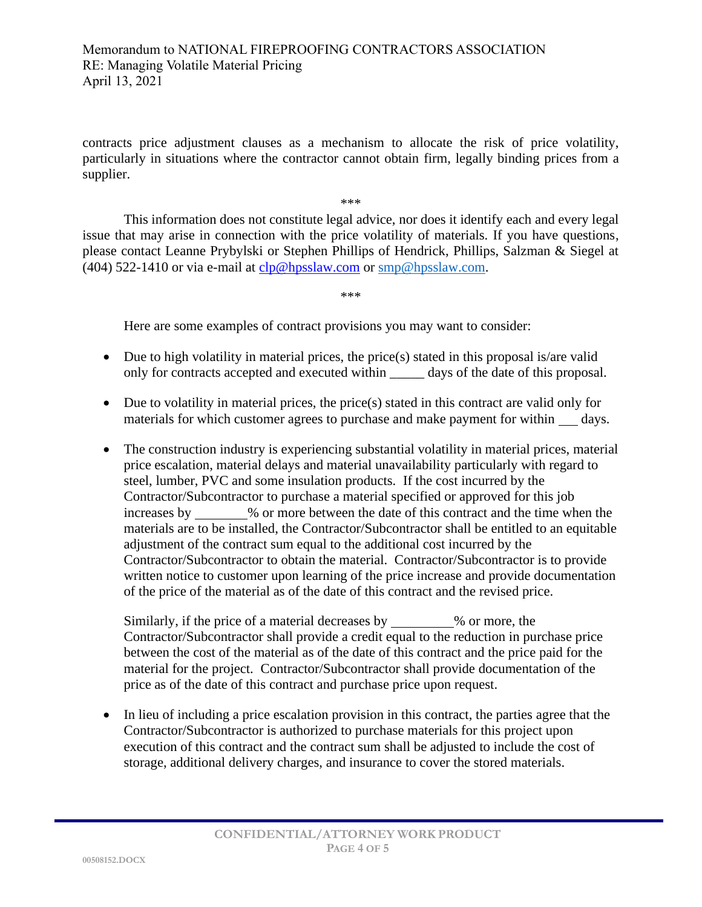### Memorandum to NATIONAL FIREPROOFING CONTRACTORS ASSOCIATION RE: Managing Volatile Material Pricing April 13, 2021

contracts price adjustment clauses as a mechanism to allocate the risk of price volatility, particularly in situations where the contractor cannot obtain firm, legally binding prices from a supplier.

\*\*\*

This information does not constitute legal advice, nor does it identify each and every legal issue that may arise in connection with the price volatility of materials. If you have questions, please contact Leanne Prybylski or Stephen Phillips of Hendrick, Phillips, Salzman & Siegel at (404) 522-1410 or via e-mail at  $clp@hpsslaw.com$  or  $smp@hpsslaw.com$ .

\*\*\*

Here are some examples of contract provisions you may want to consider:

- Due to high volatility in material prices, the price(s) stated in this proposal is/are valid only for contracts accepted and executed within days of the date of this proposal.
- Due to volatility in material prices, the price(s) stated in this contract are valid only for materials for which customer agrees to purchase and make payment for within days.
- The construction industry is experiencing substantial volatility in material prices, material price escalation, material delays and material unavailability particularly with regard to steel, lumber, PVC and some insulation products. If the cost incurred by the Contractor/Subcontractor to purchase a material specified or approved for this job increases by  $\%$  or more between the date of this contract and the time when the materials are to be installed, the Contractor/Subcontractor shall be entitled to an equitable adjustment of the contract sum equal to the additional cost incurred by the Contractor/Subcontractor to obtain the material. Contractor/Subcontractor is to provide written notice to customer upon learning of the price increase and provide documentation of the price of the material as of the date of this contract and the revised price.

Similarly, if the price of a material decreases by  $\%$  or more, the Contractor/Subcontractor shall provide a credit equal to the reduction in purchase price between the cost of the material as of the date of this contract and the price paid for the material for the project. Contractor/Subcontractor shall provide documentation of the price as of the date of this contract and purchase price upon request.

• In lieu of including a price escalation provision in this contract, the parties agree that the Contractor/Subcontractor is authorized to purchase materials for this project upon execution of this contract and the contract sum shall be adjusted to include the cost of storage, additional delivery charges, and insurance to cover the stored materials.